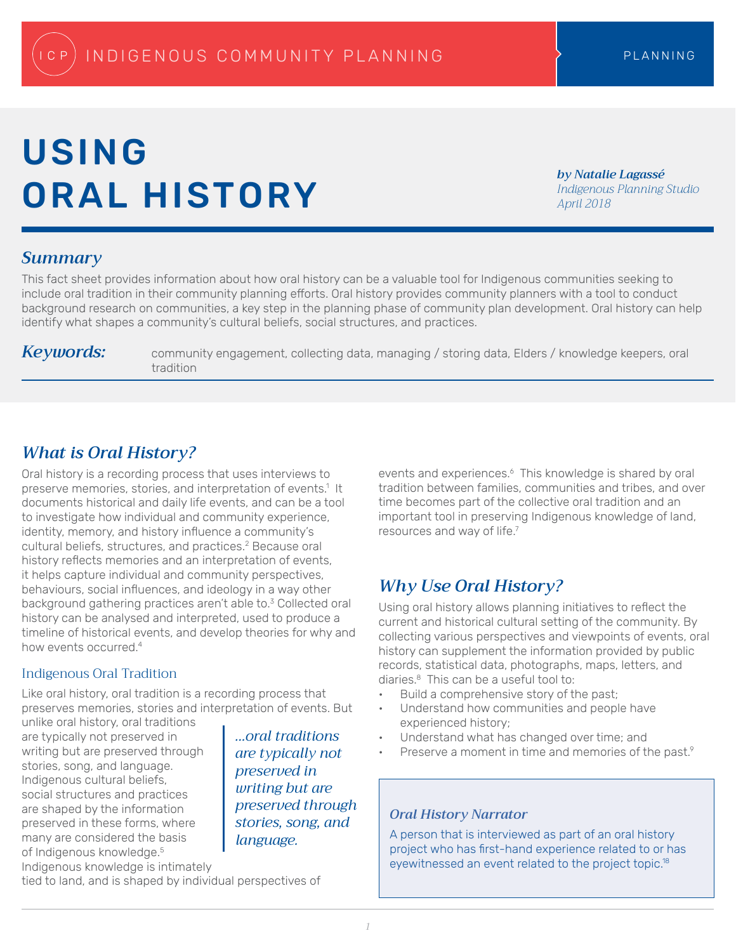# USING ORAL HISTORY

*by Natalie Lagassé Indigenous Planning Studio April 2018*

#### *Summary*

This fact sheet provides information about how oral history can be a valuable tool for Indigenous communities seeking to include oral tradition in their community planning efforts. Oral history provides community planners with a tool to conduct background research on communities, a key step in the planning phase of community plan development. Oral history can help identify what shapes a community's cultural beliefs, social structures, and practices.

*Keywords:* community engagement, collecting data, managing / storing data, Elders / knowledge keepers, oral tradition

# *What is Oral History?*

Oral history is a recording process that uses interviews to preserve memories, stories, and interpretation of events.<sup>1</sup> It documents historical and daily life events, and can be a tool to investigate how individual and community experience, identity, memory, and history influence a community's cultural beliefs, structures, and practices.<sup>2</sup> Because oral history reflects memories and an interpretation of events, it helps capture individual and community perspectives, behaviours, social influences, and ideology in a way other background gathering practices aren't able to.<sup>3</sup> Collected oral history can be analysed and interpreted, used to produce a timeline of historical events, and develop theories for why and how events occurred.4

#### Indigenous Oral Tradition

Like oral history, oral tradition is a recording process that preserves memories, stories and interpretation of events. But

unlike oral history, oral traditions are typically not preserved in writing but are preserved through stories, song, and language. Indigenous cultural beliefs, social structures and practices are shaped by the information preserved in these forms, where many are considered the basis of Indigenous knowledge.<sup>5</sup> Indigenous knowledge is intimately

*...oral traditions are typically not preserved in writing but are preserved through stories, song, and language.*

events and experiences.<sup>6</sup> This knowledge is shared by oral tradition between families, communities and tribes, and over time becomes part of the collective oral tradition and an important tool in preserving Indigenous knowledge of land, resources and way of life.<sup>7</sup>

# *Why Use Oral History?*

Using oral history allows planning initiatives to reflect the current and historical cultural setting of the community. By collecting various perspectives and viewpoints of events, oral history can supplement the information provided by public records, statistical data, photographs, maps, letters, and diaries.8 This can be a useful tool to:

- Build a comprehensive story of the past;
- Understand how communities and people have experienced history;
- Understand what has changed over time; and
- Preserve a moment in time and memories of the past.<sup>9</sup>

#### *Oral History Narrator*

A person that is interviewed as part of an oral history project who has first-hand experience related to or has eyewitnessed an event related to the project topic.18

tied to land, and is shaped by individual perspectives of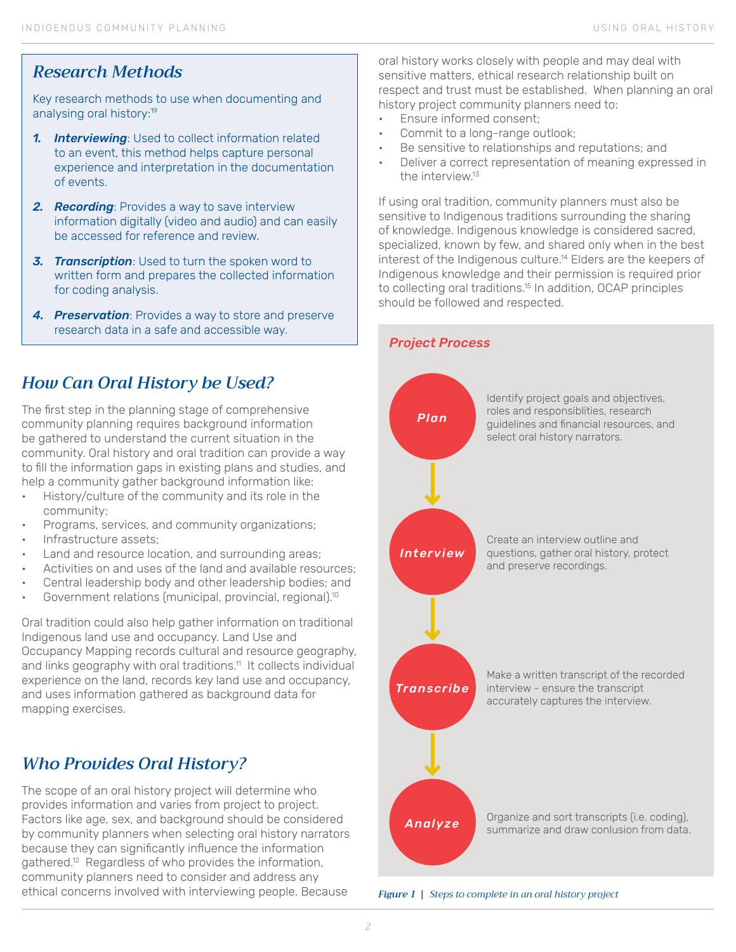#### *Research Methods*

Key research methods to use when documenting and analysing oral history:<sup>19</sup>

- *1. Interviewing*: Used to collect information related to an event, this method helps capture personal experience and interpretation in the documentation of events.
- *2. Recording*: Provides a way to save interview information digitally (video and audio) and can easily be accessed for reference and review.
- *3. Transcription*: Used to turn the spoken word to written form and prepares the collected information for coding analysis.
- *4. Preservation*: Provides a way to store and preserve research data in a safe and accessible way.

# *How Can Oral History be Used?*

The first step in the planning stage of comprehensive community planning requires background information be gathered to understand the current situation in the community. Oral history and oral tradition can provide a way to fill the information gaps in existing plans and studies, and help a community gather background information like:

- History/culture of the community and its role in the community;
- Programs, services, and community organizations;
- Infrastructure assets;
- Land and resource location, and surrounding areas;
- Activities on and uses of the land and available resources;
- Central leadership body and other leadership bodies; and
- Government relations (municipal, provincial, regional).<sup>10</sup>

Oral tradition could also help gather information on traditional Indigenous land use and occupancy. Land Use and Occupancy Mapping records cultural and resource geography, and links geography with oral traditions.<sup>11</sup> It collects individual experience on the land, records key land use and occupancy, and uses information gathered as background data for mapping exercises.

### *Who Provides Oral History?*

The scope of an oral history project will determine who provides information and varies from project to project. Factors like age, sex, and background should be considered by community planners when selecting oral history narrators because they can significantly influence the information gathered.<sup>12</sup> Regardless of who provides the information, community planners need to consider and address any ethical concerns involved with interviewing people. Because

oral history works closely with people and may deal with sensitive matters, ethical research relationship built on respect and trust must be established. When planning an oral history project community planners need to:

- Ensure informed consent;
- Commit to a long-range outlook;
- Be sensitive to relationships and reputations; and
- Deliver a correct representation of meaning expressed in the interview<sup>13</sup>

If using oral tradition, community planners must also be sensitive to Indigenous traditions surrounding the sharing of knowledge. Indigenous knowledge is considered sacred, specialized, known by few, and shared only when in the best interest of the Indigenous culture.<sup>14</sup> Elders are the keepers of Indigenous knowledge and their permission is required prior to collecting oral traditions.<sup>15</sup> In addition, OCAP principles should be followed and respected.



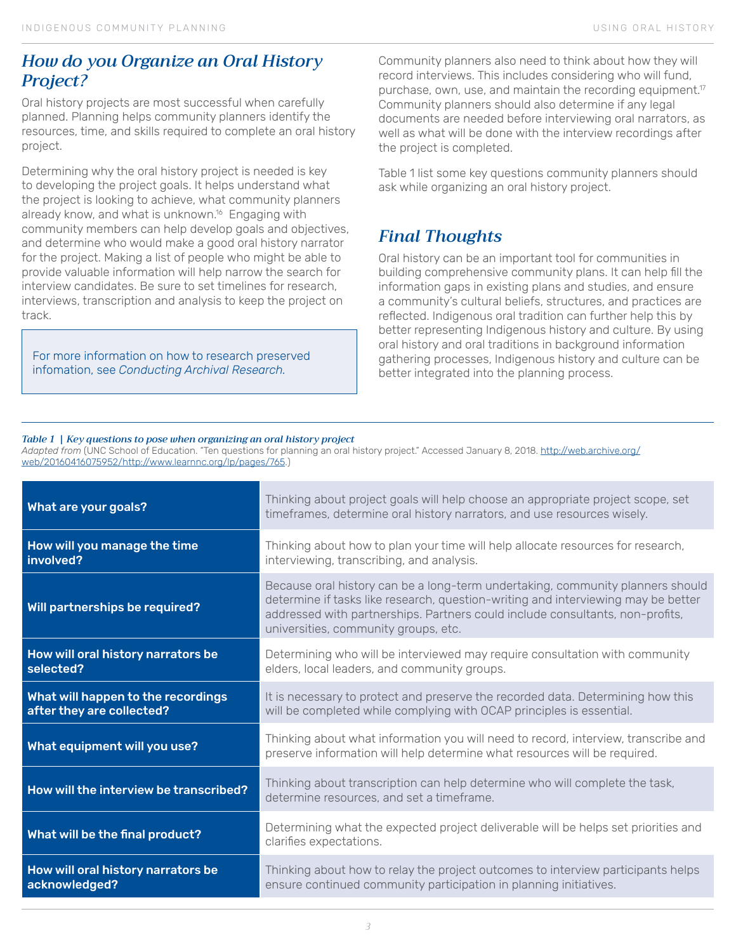#### *How do you Organize an Oral History Project?*

Oral history projects are most successful when carefully planned. Planning helps community planners identify the resources, time, and skills required to complete an oral history project.

Determining why the oral history project is needed is key to developing the project goals. It helps understand what the project is looking to achieve, what community planners already know, and what is unknown.<sup>16</sup> Engaging with community members can help develop goals and objectives, and determine who would make a good oral history narrator for the project. Making a list of people who might be able to provide valuable information will help narrow the search for interview candidates. Be sure to set timelines for research, interviews, transcription and analysis to keep the project on track.

For more information on how to research preserved infomation, see *Conducting Archival Research.*

Community planners also need to think about how they will record interviews. This includes considering who will fund, purchase, own, use, and maintain the recording equipment.<sup>17</sup> Community planners should also determine if any legal documents are needed before interviewing oral narrators, as well as what will be done with the interview recordings after the project is completed.

Table 1 list some key questions community planners should ask while organizing an oral history project.

## *Final Thoughts*

Oral history can be an important tool for communities in building comprehensive community plans. It can help fill the information gaps in existing plans and studies, and ensure a community's cultural beliefs, structures, and practices are reflected. Indigenous oral tradition can further help this by better representing Indigenous history and culture. By using oral history and oral traditions in background information gathering processes, Indigenous history and culture can be better integrated into the planning process.

#### *Table 1 | Key questions to pose when organizing an oral history project*

*Adapted from* (UNC School of Education. "Ten questions for planning an oral history project." Accessed January 8, 2018. [http://web.archive.org/](http://web.archive.org/web/20160416075952/http://www.learnnc.org/lp/pages/765) [web/20160416075952/http://www.learnnc.org/lp/pages/765](http://web.archive.org/web/20160416075952/http://www.learnnc.org/lp/pages/765).)

| What are your goals?                                            | Thinking about project goals will help choose an appropriate project scope, set<br>timeframes, determine oral history narrators, and use resources wisely.                                                                                                                                   |
|-----------------------------------------------------------------|----------------------------------------------------------------------------------------------------------------------------------------------------------------------------------------------------------------------------------------------------------------------------------------------|
| How will you manage the time<br>involved?                       | Thinking about how to plan your time will help allocate resources for research,<br>interviewing, transcribing, and analysis.                                                                                                                                                                 |
| Will partnerships be required?                                  | Because oral history can be a long-term undertaking, community planners should<br>determine if tasks like research, question-writing and interviewing may be better<br>addressed with partnerships. Partners could include consultants, non-profits,<br>universities, community groups, etc. |
| How will oral history narrators be<br>selected?                 | Determining who will be interviewed may require consultation with community<br>elders, local leaders, and community groups.                                                                                                                                                                  |
| What will happen to the recordings<br>after they are collected? | It is necessary to protect and preserve the recorded data. Determining how this<br>will be completed while complying with OCAP principles is essential.                                                                                                                                      |
| What equipment will you use?                                    | Thinking about what information you will need to record, interview, transcribe and<br>preserve information will help determine what resources will be required.                                                                                                                              |
| How will the interview be transcribed?                          | Thinking about transcription can help determine who will complete the task,<br>determine resources, and set a timeframe.                                                                                                                                                                     |
| What will be the final product?                                 | Determining what the expected project deliverable will be helps set priorities and<br>clarifies expectations.                                                                                                                                                                                |
| How will oral history narrators be<br>acknowledged?             | Thinking about how to relay the project outcomes to interview participants helps<br>ensure continued community participation in planning initiatives.                                                                                                                                        |